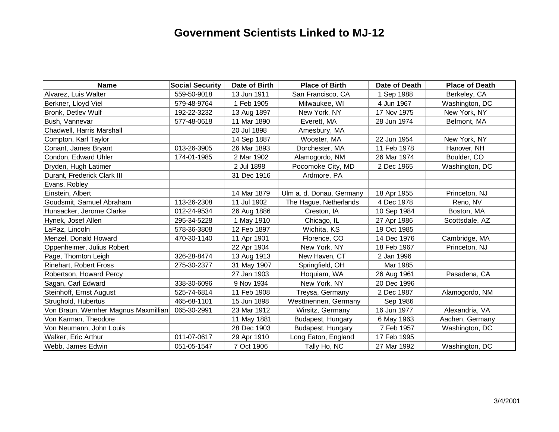## **Government Scientists Linked to MJ-12**

| <b>Name</b>                          | <b>Social Security</b> | Date of Birth | <b>Place of Birth</b>    | Date of Death | <b>Place of Death</b> |
|--------------------------------------|------------------------|---------------|--------------------------|---------------|-----------------------|
| Alvarez, Luis Walter                 | 559-50-9018            | 13 Jun 1911   | San Francisco, CA        | 1 Sep 1988    | Berkeley, CA          |
| Berkner, Lloyd Viel                  | 579-48-9764            | 1 Feb 1905    | Milwaukee, WI            | 4 Jun 1967    | Washington, DC        |
| Bronk, Detlev Wulf                   | 192-22-3232            | 13 Aug 1897   | New York, NY             | 17 Nov 1975   | New York, NY          |
| Bush, Vannevar                       | 577-48-0618            | 11 Mar 1890   | Everett, MA              | 28 Jun 1974   | Belmont, MA           |
| Chadwell, Harris Marshall            |                        | 20 Jul 1898   | Amesbury, MA             |               |                       |
| Compton, Karl Taylor                 |                        | 14 Sep 1887   | Wooster, MA              | 22 Jun 1954   | New York, NY          |
| Conant, James Bryant                 | 013-26-3905            | 26 Mar 1893   | Dorchester, MA           | 11 Feb 1978   | Hanover, NH           |
| Condon, Edward Uhler                 | 174-01-1985            | 2 Mar 1902    | Alamogordo, NM           | 26 Mar 1974   | Boulder, CO           |
| Dryden, Hugh Latimer                 |                        | 2 Jul 1898    | Pocomoke City, MD        | 2 Dec 1965    | Washington, DC        |
| Durant, Frederick Clark III          |                        | 31 Dec 1916   | Ardmore, PA              |               |                       |
| Evans, Robley                        |                        |               |                          |               |                       |
| Einstein, Albert                     |                        | 14 Mar 1879   | Ulm a. d. Donau, Germany | 18 Apr 1955   | Princeton, NJ         |
| Goudsmit, Samuel Abraham             | 113-26-2308            | 11 Jul 1902   | The Hague, Netherlands   | 4 Dec 1978    | Reno, NV              |
| Hunsacker, Jerome Clarke             | 012-24-9534            | 26 Aug 1886   | Creston, IA              | 10 Sep 1984   | Boston, MA            |
| Hynek, Josef Allen                   | 295-34-5228            | 1 May 1910    | Chicago, IL              | 27 Apr 1986   | Scottsdale, AZ        |
| LaPaz, Lincoln                       | 578-36-3808            | 12 Feb 1897   | Wichita, KS              | 19 Oct 1985   |                       |
| Menzel, Donald Howard                | 470-30-1140            | 11 Apr 1901   | Florence, CO             | 14 Dec 1976   | Cambridge, MA         |
| Oppenheimer, Julius Robert           |                        | 22 Apr 1904   | New York, NY             | 18 Feb 1967   | Princeton, NJ         |
| Page, Thornton Leigh                 | 326-28-8474            | 13 Aug 1913   | New Haven, CT            | 2 Jan 1996    |                       |
| <b>Rinehart, Robert Fross</b>        | 275-30-2377            | 31 May 1907   | Springfield, OH          | Mar 1985      |                       |
| Robertson, Howard Percy              |                        | 27 Jan 1903   | Hoquiam, WA              | 26 Aug 1961   | Pasadena, CA          |
| Sagan, Carl Edward                   | 338-30-6096            | 9 Nov 1934    | New York, NY             | 20 Dec 1996   |                       |
| Steinhoff, Ernst August              | 525-74-6814            | 11 Feb 1908   | Treysa, Germany          | 2 Dec 1987    | Alamogordo, NM        |
| Strughold, Hubertus                  | 465-68-1101            | 15 Jun 1898   | Westtnennen, Germany     | Sep 1986      |                       |
| Von Braun, Wernher Magnus Maxmillian | 065-30-2991            | 23 Mar 1912   | Wirsitz, Germany         | 16 Jun 1977   | Alexandria, VA        |
| Von Karman, Theodore                 |                        | 11 May 1881   | Budapest, Hungary        | 6 May 1963    | Aachen, Germany       |
| Von Neumann, John Louis              |                        | 28 Dec 1903   | Budapest, Hungary        | 7 Feb 1957    | Washington, DC        |
| Walker, Eric Arthur                  | 011-07-0617            | 29 Apr 1910   | Long Eaton, England      | 17 Feb 1995   |                       |
| Webb, James Edwin                    | 051-05-1547            | 7 Oct 1906    | Tally Ho, NC             | 27 Mar 1992   | Washington, DC        |